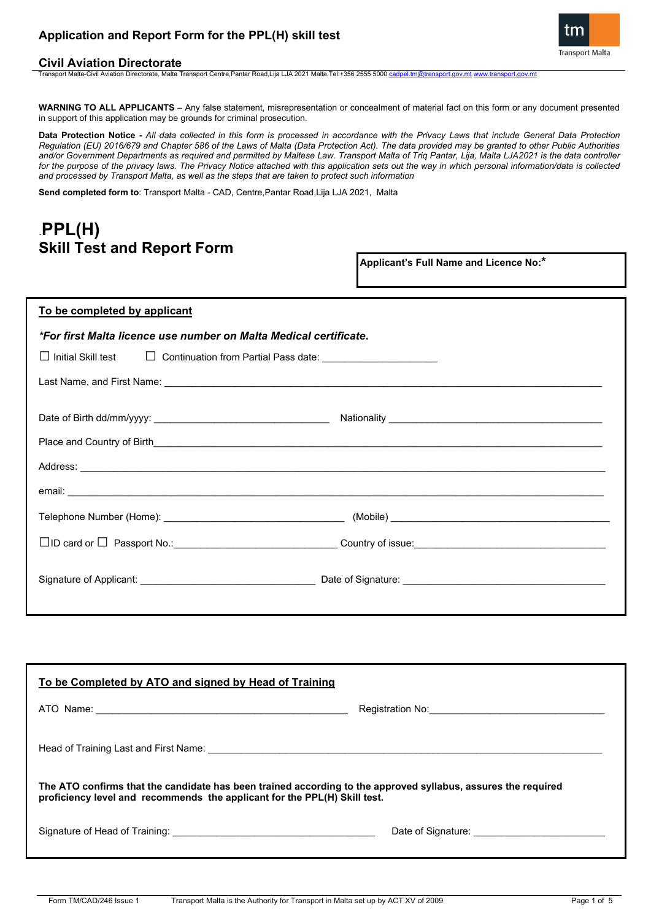### **Application and Report Form for the PPL(H) skill test**





Transport Malta-Civil Aviation Directorate, Malta Transport Centre,Pantar Road,Lija LJA 2021 Malta.Tel:+356 2555 5000 [cadpel.tm@transport.gov.mt](mailto:cadpel.tm@transport.gov.mt) [www.transport.gov.mt](http://www.transport.gov.mt/)

**WARNING TO ALL APPLICANTS** – Any false statement, misrepresentation or concealment of material fact on this form or any document presented in support of this application may be grounds for criminal prosecution.

**Data Protection Notice -** *All data collected in this form is processed in accordance with the Privacy Laws that include General Data Protection Regulation (EU) 2016/679 and Chapter 586 of the Laws of Malta (Data Protection Act). The data provided may be granted to other Public Authorities*  and/or Government Departments as required and permitted by Maltese Law. Transport Malta of Triq Pantar, Lija, Malta LJA2021 is the data controller for the purpose of the privacy laws. The Privacy Notice attached with this application sets out the way in which personal information/data is collected *and processed by Transport Malta, as well as the steps that are taken to protect such information*

**Send completed form to**: Transport Malta - CAD, Centre,Pantar Road,Lija LJA 2021, Malta

### .**PPL(H) Skill Test and Report Form**

**Applicant's Full Name and Licence No:\***

| To be completed by applicant                                                                                                                                                                                                        |  |  |  |
|-------------------------------------------------------------------------------------------------------------------------------------------------------------------------------------------------------------------------------------|--|--|--|
| *For first Malta licence use number on Malta Medical certificate.                                                                                                                                                                   |  |  |  |
|                                                                                                                                                                                                                                     |  |  |  |
|                                                                                                                                                                                                                                     |  |  |  |
|                                                                                                                                                                                                                                     |  |  |  |
|                                                                                                                                                                                                                                     |  |  |  |
| Place and Country of Birth experience and the state of the state of the state of the state of the state of the                                                                                                                      |  |  |  |
| Address: <u>Communications of the communications</u> of the contract of the contract of the contract of the contract of the contract of the contract of the contract of the contract of the contract of the contract of the contrac |  |  |  |
|                                                                                                                                                                                                                                     |  |  |  |
|                                                                                                                                                                                                                                     |  |  |  |
|                                                                                                                                                                                                                                     |  |  |  |
|                                                                                                                                                                                                                                     |  |  |  |
|                                                                                                                                                                                                                                     |  |  |  |

| To be Completed by ATO and signed by Head of Training                                                                                                                                      |  |  |  |  |
|--------------------------------------------------------------------------------------------------------------------------------------------------------------------------------------------|--|--|--|--|
|                                                                                                                                                                                            |  |  |  |  |
|                                                                                                                                                                                            |  |  |  |  |
| The ATO confirms that the candidate has been trained according to the approved syllabus, assures the required<br>proficiency level and recommends the applicant for the PPL(H) Skill test. |  |  |  |  |
|                                                                                                                                                                                            |  |  |  |  |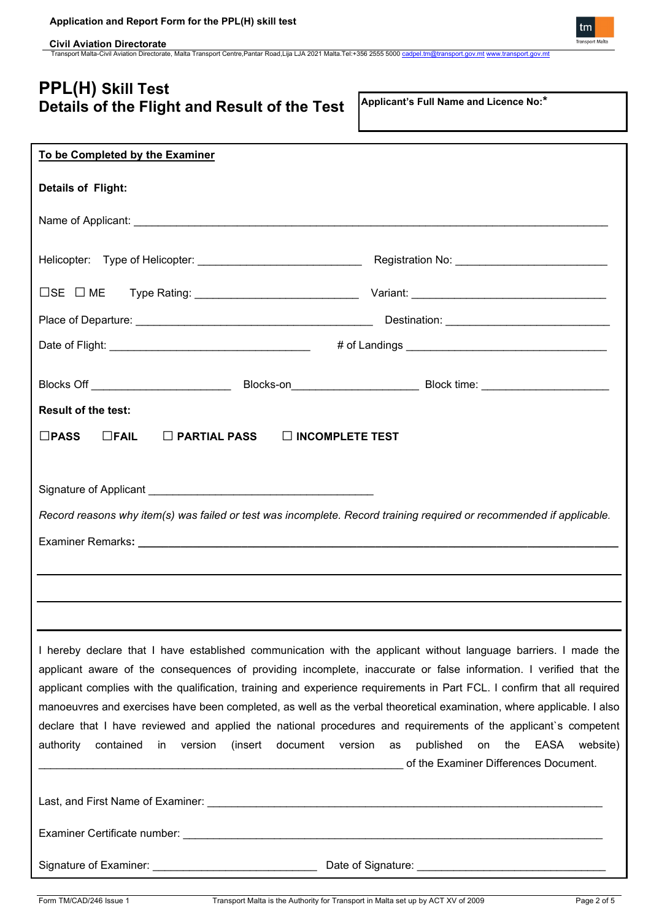**Civil Aviation Directorate** Transport Malta-Civil Aviation Directorate, Malta Transport Centre,Pantar Road,Lija LJA 2021 Malta.Tel:+356 2555 5000 [cadpel.tm@transport.gov.mt](mailto:cadpel.tm@transport.gov.mt) [www.transport.gov.mt](http://www.transport.gov.mt/)

## **PPL(H) Skill Test Details of the Flight and Result of the Test**

**Applicant's Full Name and Licence No:\***

| To be Completed by the Examiner                                                                                                                                                                                                                                                                                                                                                                                                                                                                                                                                                                                                                                                          |                                                                                  |
|------------------------------------------------------------------------------------------------------------------------------------------------------------------------------------------------------------------------------------------------------------------------------------------------------------------------------------------------------------------------------------------------------------------------------------------------------------------------------------------------------------------------------------------------------------------------------------------------------------------------------------------------------------------------------------------|----------------------------------------------------------------------------------|
| <b>Details of Flight:</b>                                                                                                                                                                                                                                                                                                                                                                                                                                                                                                                                                                                                                                                                |                                                                                  |
|                                                                                                                                                                                                                                                                                                                                                                                                                                                                                                                                                                                                                                                                                          |                                                                                  |
|                                                                                                                                                                                                                                                                                                                                                                                                                                                                                                                                                                                                                                                                                          |                                                                                  |
|                                                                                                                                                                                                                                                                                                                                                                                                                                                                                                                                                                                                                                                                                          |                                                                                  |
|                                                                                                                                                                                                                                                                                                                                                                                                                                                                                                                                                                                                                                                                                          |                                                                                  |
|                                                                                                                                                                                                                                                                                                                                                                                                                                                                                                                                                                                                                                                                                          |                                                                                  |
|                                                                                                                                                                                                                                                                                                                                                                                                                                                                                                                                                                                                                                                                                          |                                                                                  |
| <b>Result of the test:</b>                                                                                                                                                                                                                                                                                                                                                                                                                                                                                                                                                                                                                                                               |                                                                                  |
| $\square$ FAIL<br>$\Box$ PARTIAL PASS $\Box$ INCOMPLETE TEST<br>$\square$ PASS                                                                                                                                                                                                                                                                                                                                                                                                                                                                                                                                                                                                           |                                                                                  |
|                                                                                                                                                                                                                                                                                                                                                                                                                                                                                                                                                                                                                                                                                          |                                                                                  |
|                                                                                                                                                                                                                                                                                                                                                                                                                                                                                                                                                                                                                                                                                          |                                                                                  |
| Record reasons why item(s) was failed or test was incomplete. Record training required or recommended if applicable.                                                                                                                                                                                                                                                                                                                                                                                                                                                                                                                                                                     |                                                                                  |
|                                                                                                                                                                                                                                                                                                                                                                                                                                                                                                                                                                                                                                                                                          |                                                                                  |
|                                                                                                                                                                                                                                                                                                                                                                                                                                                                                                                                                                                                                                                                                          |                                                                                  |
|                                                                                                                                                                                                                                                                                                                                                                                                                                                                                                                                                                                                                                                                                          |                                                                                  |
|                                                                                                                                                                                                                                                                                                                                                                                                                                                                                                                                                                                                                                                                                          |                                                                                  |
| I hereby declare that I have established communication with the applicant without language barriers. I made the<br>applicant aware of the consequences of providing incomplete, inaccurate or false information. I verified that the<br>applicant complies with the qualification, training and experience requirements in Part FCL. I confirm that all required<br>manoeuvres and exercises have been completed, as well as the verbal theoretical examination, where applicable. I also<br>declare that I have reviewed and applied the national procedures and requirements of the applicant's competent<br>(insert<br>document version as<br>authority<br>contained<br>in<br>version | published<br>on<br>the<br>EASA website)<br>of the Examiner Differences Document. |
|                                                                                                                                                                                                                                                                                                                                                                                                                                                                                                                                                                                                                                                                                          |                                                                                  |
|                                                                                                                                                                                                                                                                                                                                                                                                                                                                                                                                                                                                                                                                                          |                                                                                  |
|                                                                                                                                                                                                                                                                                                                                                                                                                                                                                                                                                                                                                                                                                          |                                                                                  |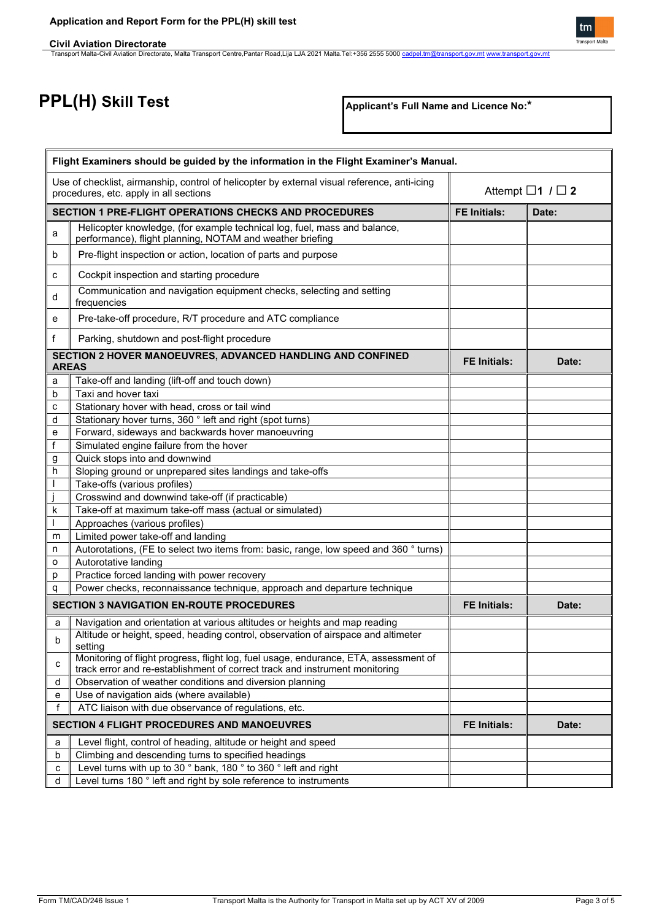**PPL(H) Skill Test**

**Applicant's Full Name and Licence No:\***

|                                                                                                                                        | Flight Examiners should be guided by the information in the Flight Examiner's Manual.                                                                               |                           |       |
|----------------------------------------------------------------------------------------------------------------------------------------|---------------------------------------------------------------------------------------------------------------------------------------------------------------------|---------------------------|-------|
| Use of checklist, airmanship, control of helicopter by external visual reference, anti-icing<br>procedures, etc. apply in all sections |                                                                                                                                                                     | Attempt $\Box$ 1 $\Box$ 2 |       |
|                                                                                                                                        | <b>SECTION 1 PRE-FLIGHT OPERATIONS CHECKS AND PROCEDURES</b>                                                                                                        | <b>FE Initials:</b>       | Date: |
| a                                                                                                                                      | Helicopter knowledge, (for example technical log, fuel, mass and balance,<br>performance), flight planning, NOTAM and weather briefing                              |                           |       |
| b                                                                                                                                      | Pre-flight inspection or action, location of parts and purpose                                                                                                      |                           |       |
| с                                                                                                                                      | Cockpit inspection and starting procedure                                                                                                                           |                           |       |
| d                                                                                                                                      | Communication and navigation equipment checks, selecting and setting<br>frequencies                                                                                 |                           |       |
| е                                                                                                                                      | Pre-take-off procedure, R/T procedure and ATC compliance                                                                                                            |                           |       |
| f                                                                                                                                      | Parking, shutdown and post-flight procedure                                                                                                                         |                           |       |
| <b>AREAS</b>                                                                                                                           | SECTION 2 HOVER MANOEUVRES, ADVANCED HANDLING AND CONFINED                                                                                                          | <b>FE Initials:</b>       | Date: |
| a                                                                                                                                      | Take-off and landing (lift-off and touch down)                                                                                                                      |                           |       |
| b                                                                                                                                      | Taxi and hover taxi                                                                                                                                                 |                           |       |
| c                                                                                                                                      | Stationary hover with head, cross or tail wind                                                                                                                      |                           |       |
| d                                                                                                                                      | Stationary hover turns, 360 ° left and right (spot turns)                                                                                                           |                           |       |
| е                                                                                                                                      | Forward, sideways and backwards hover manoeuvring                                                                                                                   |                           |       |
| f                                                                                                                                      | Simulated engine failure from the hover                                                                                                                             |                           |       |
| g                                                                                                                                      | Quick stops into and downwind                                                                                                                                       |                           |       |
| h                                                                                                                                      | Sloping ground or unprepared sites landings and take-offs                                                                                                           |                           |       |
| $\mathbf{I}$                                                                                                                           | Take-offs (various profiles)                                                                                                                                        |                           |       |
|                                                                                                                                        | Crosswind and downwind take-off (if practicable)                                                                                                                    |                           |       |
| k                                                                                                                                      | Take-off at maximum take-off mass (actual or simulated)                                                                                                             |                           |       |
|                                                                                                                                        | Approaches (various profiles)                                                                                                                                       |                           |       |
| m                                                                                                                                      | Limited power take-off and landing                                                                                                                                  |                           |       |
| n                                                                                                                                      | Autorotations, (FE to select two items from: basic, range, low speed and 360 ° turns)<br>Autorotative landing                                                       |                           |       |
| o                                                                                                                                      | Practice forced landing with power recovery                                                                                                                         |                           |       |
| p<br>q                                                                                                                                 | Power checks, reconnaissance technique, approach and departure technique                                                                                            |                           |       |
|                                                                                                                                        |                                                                                                                                                                     |                           |       |
|                                                                                                                                        | <b>SECTION 3 NAVIGATION EN-ROUTE PROCEDURES</b>                                                                                                                     | <b>FE Initials:</b>       | Date: |
| a                                                                                                                                      | Navigation and orientation at various altitudes or heights and map reading                                                                                          |                           |       |
| b                                                                                                                                      | Altitude or height, speed, heading control, observation of airspace and altimeter<br>setting                                                                        |                           |       |
| c                                                                                                                                      | Monitoring of flight progress, flight log, fuel usage, endurance, ETA, assessment of<br>track error and re-establishment of correct track and instrument monitoring |                           |       |
| d                                                                                                                                      | Observation of weather conditions and diversion planning                                                                                                            |                           |       |
| е                                                                                                                                      | Use of navigation aids (where available)                                                                                                                            |                           |       |
| f                                                                                                                                      | ATC liaison with due observance of regulations, etc.                                                                                                                |                           |       |
|                                                                                                                                        | <b>SECTION 4 FLIGHT PROCEDURES AND MANOEUVRES</b>                                                                                                                   | <b>FE Initials:</b>       | Date: |
| a                                                                                                                                      | Level flight, control of heading, altitude or height and speed                                                                                                      |                           |       |
| b                                                                                                                                      | Climbing and descending turns to specified headings                                                                                                                 |                           |       |
| с                                                                                                                                      | Level turns with up to 30 ° bank, 180 $\overline{°}$ to 360 ° left and right                                                                                        |                           |       |
| d                                                                                                                                      | Level turns 180 ° left and right by sole reference to instruments                                                                                                   |                           |       |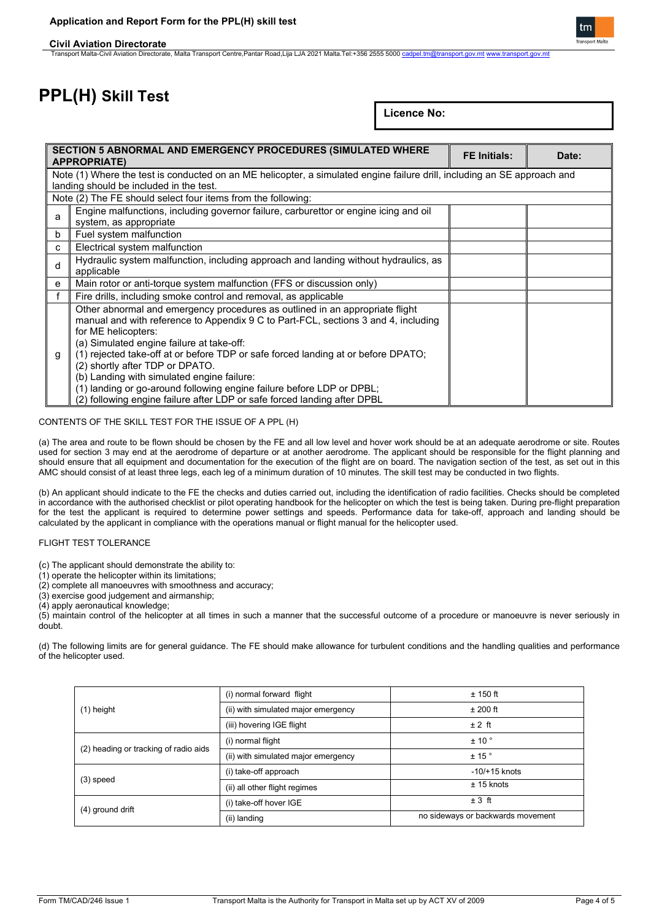### **Civil Aviation Directorate**

Transport Malta-Civil Aviation Directorate, Malta Transport Centre,Pantar Road,Lija LJA 2021 Malta.Tel:+356 2555 5000 <u>[cadpel.tm@transport.gov.mt](mailto:cadpel.tm@transport.gov.mt)</u> [www.transport.gov.mt](http://www.transport.gov.mt/)

# **PPL(H) Skill Test**

**Licence No:** 

|                                                                                                                                                                     | SECTION 5 ABNORMAL AND EMERGENCY PROCEDURES (SIMULATED WHERE<br><b>APPROPRIATE)</b>                                                                                                                                                                                                                                                                                                                                                                                                                                                                               |  | Date: |
|---------------------------------------------------------------------------------------------------------------------------------------------------------------------|-------------------------------------------------------------------------------------------------------------------------------------------------------------------------------------------------------------------------------------------------------------------------------------------------------------------------------------------------------------------------------------------------------------------------------------------------------------------------------------------------------------------------------------------------------------------|--|-------|
| Note (1) Where the test is conducted on an ME helicopter, a simulated engine failure drill, including an SE approach and<br>landing should be included in the test. |                                                                                                                                                                                                                                                                                                                                                                                                                                                                                                                                                                   |  |       |
| Note (2) The FE should select four items from the following:                                                                                                        |                                                                                                                                                                                                                                                                                                                                                                                                                                                                                                                                                                   |  |       |
| a                                                                                                                                                                   | Engine malfunctions, including governor failure, carburettor or engine icing and oil<br>system, as appropriate                                                                                                                                                                                                                                                                                                                                                                                                                                                    |  |       |
| b                                                                                                                                                                   | Fuel system malfunction                                                                                                                                                                                                                                                                                                                                                                                                                                                                                                                                           |  |       |
| C                                                                                                                                                                   | Electrical system malfunction                                                                                                                                                                                                                                                                                                                                                                                                                                                                                                                                     |  |       |
| d                                                                                                                                                                   | Hydraulic system malfunction, including approach and landing without hydraulics, as<br>applicable                                                                                                                                                                                                                                                                                                                                                                                                                                                                 |  |       |
| e                                                                                                                                                                   | Main rotor or anti-torque system malfunction (FFS or discussion only)                                                                                                                                                                                                                                                                                                                                                                                                                                                                                             |  |       |
|                                                                                                                                                                     | Fire drills, including smoke control and removal, as applicable                                                                                                                                                                                                                                                                                                                                                                                                                                                                                                   |  |       |
| g                                                                                                                                                                   | Other abnormal and emergency procedures as outlined in an appropriate flight<br>manual and with reference to Appendix 9 C to Part-FCL, sections 3 and 4, including<br>for ME helicopters:<br>(a) Simulated engine failure at take-off:<br>(1) rejected take-off at or before TDP or safe forced landing at or before DPATO;<br>(2) shortly after TDP or DPATO.<br>(b) Landing with simulated engine failure:<br>(1) landing or go-around following engine failure before LDP or DPBL;<br>(2) following engine failure after LDP or safe forced landing after DPBL |  |       |

#### CONTENTS OF THE SKILL TEST FOR THE ISSUE OF A PPL (H)

(a) The area and route to be flown should be chosen by the FE and all low level and hover work should be at an adequate aerodrome or site. Routes used for section 3 may end at the aerodrome of departure or at another aerodrome. The applicant should be responsible for the flight planning and should ensure that all equipment and documentation for the execution of the flight are on board. The navigation section of the test, as set out in this AMC should consist of at least three legs, each leg of a minimum duration of 10 minutes. The skill test may be conducted in two flights.

(b) An applicant should indicate to the FE the checks and duties carried out, including the identification of radio facilities. Checks should be completed in accordance with the authorised checklist or pilot operating handbook for the helicopter on which the test is being taken. During pre-flight preparation for the test the applicant is required to determine power settings and speeds. Performance data for take-off, approach and landing should be calculated by the applicant in compliance with the operations manual or flight manual for the helicopter used.

#### FLIGHT TEST TOLERANCE

(c) The applicant should demonstrate the ability to:

(1) operate the helicopter within its limitations;

(2) complete all manoeuvres with smoothness and accuracy;

(3) exercise good judgement and airmanship;

(4) apply aeronautical knowledge;

(5) maintain control of the helicopter at all times in such a manner that the successful outcome of a procedure or manoeuvre is never seriously in doubt.

(d) The following limits are for general guidance. The FE should make allowance for turbulent conditions and the handling qualities and performance of the helicopter used.

| (i) normal forward flight           | $± 150$ ft                        |
|-------------------------------------|-----------------------------------|
| (ii) with simulated major emergency | $±$ 200 ft                        |
| (iii) hovering IGE flight           | $± 2$ ft                          |
| (i) normal flight                   | ± 10°                             |
| (ii) with simulated major emergency | ± 15°                             |
| (i) take-off approach               | $-10/+15$ knots                   |
| (ii) all other flight regimes       | $± 15$ knots                      |
| (i) take-off hover IGE              | $±3$ ft                           |
| (ii) landing                        | no sideways or backwards movement |
|                                     |                                   |